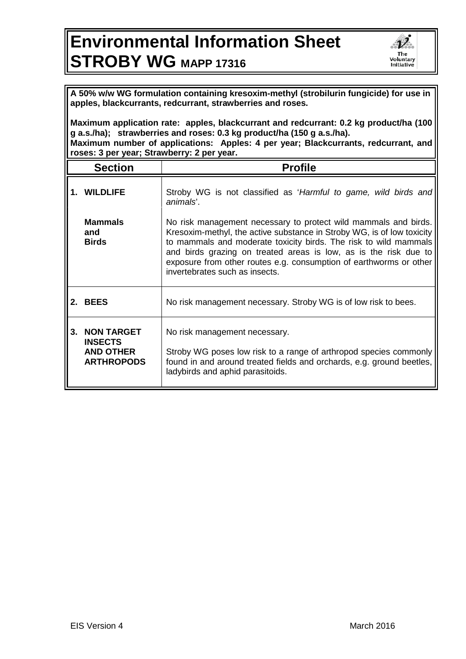## **Environmental Information Sheet STROBY WG MAPP 17316**



**A 50% w/w WG formulation containing kresoxim-methyl (strobilurin fungicide) for use in apples, blackcurrants, redcurrant, strawberries and roses.** 

**Maximum application rate: apples, blackcurrant and redcurrant: 0.2 kg product/ha (100 g a.s./ha); strawberries and roses: 0.3 kg product/ha (150 g a.s./ha). Maximum number of applications: Apples: 4 per year; Blackcurrants, redcurrant, and roses: 3 per year; Strawberry: 2 per year.**

| <b>Section</b>                                                           | <b>Profile</b>                                                                                                                                                                                                                                                                                                                                                                            |
|--------------------------------------------------------------------------|-------------------------------------------------------------------------------------------------------------------------------------------------------------------------------------------------------------------------------------------------------------------------------------------------------------------------------------------------------------------------------------------|
| 1. WILDLIFE                                                              | Stroby WG is not classified as 'Harmful to game, wild birds and<br>animals'.                                                                                                                                                                                                                                                                                                              |
| <b>Mammals</b><br>and<br><b>Birds</b>                                    | No risk management necessary to protect wild mammals and birds.<br>Kresoxim-methyl, the active substance in Stroby WG, is of low toxicity<br>to mammals and moderate toxicity birds. The risk to wild mammals<br>and birds grazing on treated areas is low, as is the risk due to<br>exposure from other routes e.g. consumption of earthworms or other<br>invertebrates such as insects. |
| 2. BEES                                                                  | No risk management necessary. Stroby WG is of low risk to bees.                                                                                                                                                                                                                                                                                                                           |
| 3. NON TARGET<br><b>INSECTS</b><br><b>AND OTHER</b><br><b>ARTHROPODS</b> | No risk management necessary.<br>Stroby WG poses low risk to a range of arthropod species commonly<br>found in and around treated fields and orchards, e.g. ground beetles,<br>ladybirds and aphid parasitoids.                                                                                                                                                                           |